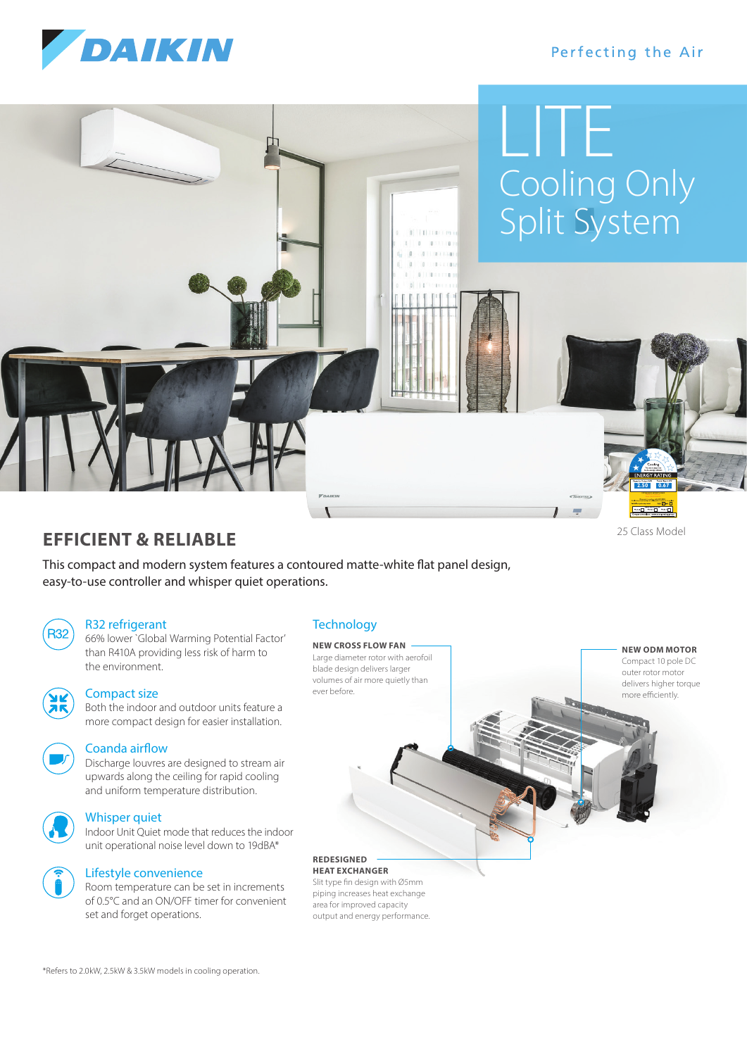

# Perfecting the Air

# Cooling Only Split System LITE

# **EFFICIENT & RELIABLE**

This compact and modern system features a contoured matte-white flat panel design, easy-to-use controller and whisper quiet operations.



#### R32 refrigerant

R32) 66% lower `Global Warming Potential Factor' than R410A providing less risk of harm to the environment.



## Compact size

 Both the indoor and outdoor units feature a more compact design for easier installation.



#### Coanda airflow

 Discharge louvres are designed to stream air upwards along the ceiling for rapid cooling and uniform temperature distribution.



### Whisper quiet

 Indoor Unit Quiet mode that reduces the indoor unit operational noise level down to 19dBA\*



# Lifestyle convenience

 Room temperature can be set in increments of 0.5°C and an ON/OFF timer for convenient set and forget operations.

# **Technology**

**NEW CROSS FLOW FAN** Large diameter rotor with aerofoil blade design delivers larger volumes of air more quietly than ever before.

**HEAT EXCHANGER** Slit type fin design with Ø5mm piping increases heat exchange

**REDESIGNED** 

area for improved capacity output and energy performance. **NEW ODM MOTOR**

25 Class Model

**2.50 0.67**

Compact 10 pole DC outer rotor motor delivers higher torque more efficiently.